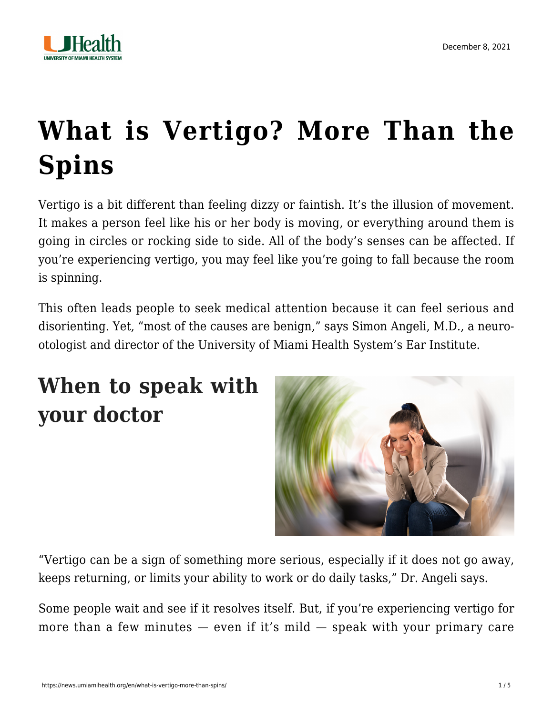

# **[What is Vertigo? More Than the](https://news.umiamihealth.org/en/what-is-vertigo-more-than-spins/) [Spins](https://news.umiamihealth.org/en/what-is-vertigo-more-than-spins/)**

Vertigo is a bit different than feeling dizzy or faintish. It's the illusion of movement. It makes a person feel like his or her body is moving, or everything around them is going in circles or rocking side to side. All of the body's senses can be affected. If you're experiencing vertigo, you may feel like you're going to fall because the room is spinning.

This often leads people to seek medical attention because it can feel serious and disorienting. Yet, "most of the causes are benign," says [Simon Angeli, M.D.](https://doctors.umiamihealth.org/provider/Simon+I+Angeli/525053?unified=angeli&sort=networks%2Crelevance&from=search-list), a neurootologist and director of the University of Miami Health System's Ear Institute.

# **When to speak with your doctor**



"Vertigo can be a sign of something more serious, especially if it does not go away, keeps returning, or limits your ability to work or do daily tasks," Dr. Angeli says.

Some people wait and see if it resolves itself. But, if you're experiencing vertigo for more than a few minutes  $-$  even if it's mild  $-$  speak with your primary care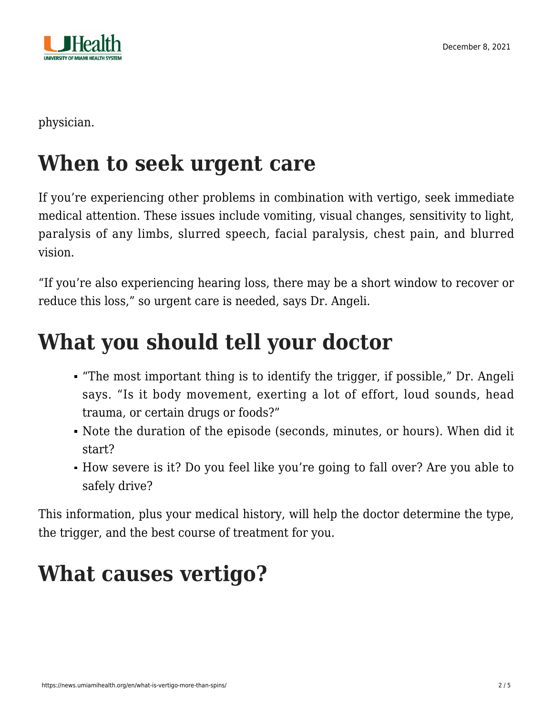

physician.

### **When to seek urgent care**

If you're experiencing other problems in combination with vertigo, seek immediate medical attention. These issues include vomiting, visual changes, sensitivity to light, paralysis of any limbs, slurred speech, facial paralysis, chest pain, and blurred vision.

"If you're also experiencing hearing loss, there may be a short window to recover or reduce this loss," so urgent care is needed, says Dr. Angeli.

# **What you should tell your doctor**

- "The most important thing is to identify the trigger, if possible," Dr. Angeli says. "Is it body movement, exerting a lot of effort, loud sounds, head trauma, or certain drugs or foods?"
- Note the duration of the episode (seconds, minutes, or hours). When did it start?
- How severe is it? Do you feel like you're going to fall over? Are you able to safely drive?

This information, plus your medical history, will help the doctor determine the type, the trigger, and the best course of treatment for you.

# **What causes vertigo?**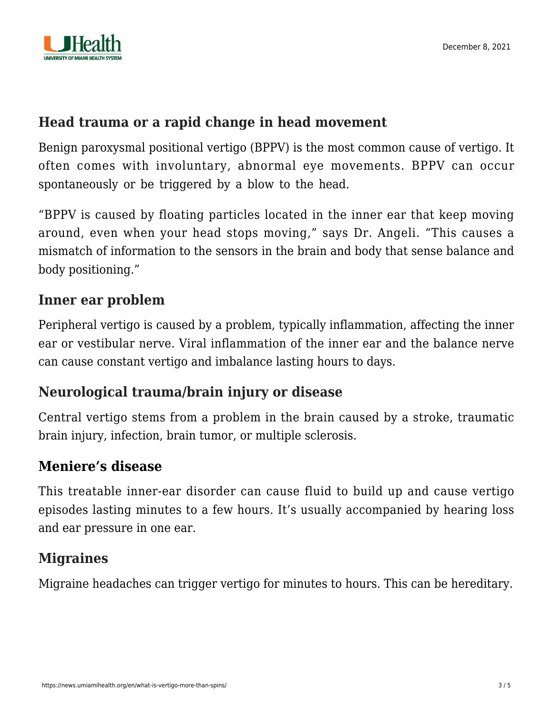

#### **Head trauma or a rapid change in head movement**

Benign paroxysmal positional vertigo (BPPV) is the most common cause of vertigo. It often comes with involuntary, abnormal eye movements. BPPV can occur spontaneously or be triggered by a blow to the head.

"BPPV is caused by floating particles located in the inner ear that keep moving around, even when your head stops moving," says Dr. Angeli. "This causes a mismatch of information to the sensors in the brain and body that sense balance and body positioning."

#### **Inner ear problem**

Peripheral vertigo is caused by a problem, typically inflammation, affecting the inner ear or vestibular nerve. Viral inflammation of the inner ear and the balance nerve can cause constant vertigo and imbalance lasting hours to days.

#### **Neurological trauma/brain injury or disease**

Central vertigo stems from a problem in the brain caused by a stroke, traumatic brain injury, infection, brain tumor, or multiple sclerosis.

#### **[Meniere's disease](https://umiamihealth.org/treatments-and-services/ear,-nose,-and-throat-(ent)/audiology-(hearing)/meniere%E2%80%99s-disease)**

This treatable inner-ear disorder can cause fluid to build up and cause vertigo episodes lasting minutes to a few hours. It's usually accompanied by hearing loss and ear pressure in one ear.

#### **Migraines**

Migraine headaches can trigger vertigo for minutes to hours. This can be hereditary.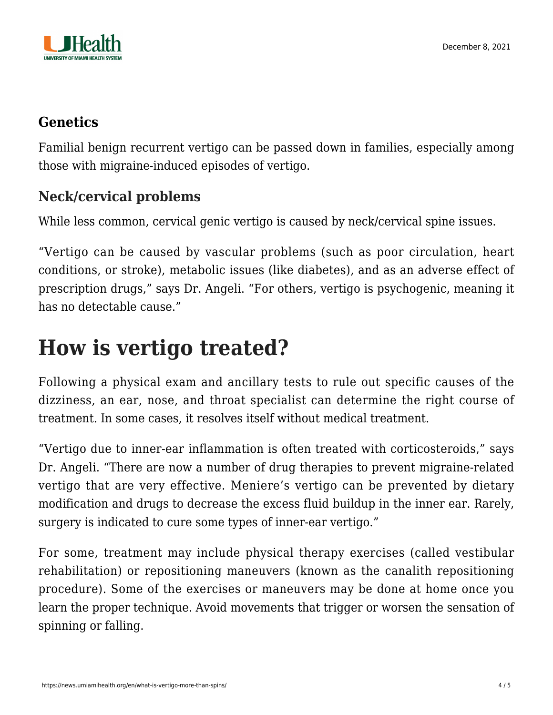

#### **[Genetics](https://umiamihealth.org/treatments-and-services/genetics)**

Familial benign recurrent vertigo can be passed down in families, especially among those with migraine-induced episodes of vertigo.

### **Neck/cervical problems**

While less common, cervical genic vertigo is caused by neck/cervical spine issues.

"Vertigo can be caused by vascular problems (such as poor circulation, heart conditions, or stroke), metabolic issues (like diabetes), and as an adverse effect of prescription drugs," says Dr. Angeli. "For others, vertigo is psychogenic, meaning it has no detectable cause."

### **How is vertigo treated?**

Following a physical exam and ancillary tests to rule out specific causes of the dizziness, an ear, nose, and throat specialist can determine the right course of treatment. In some cases, it resolves itself without medical treatment.

"Vertigo due to inner-ear inflammation is often treated with corticosteroids," says Dr. Angeli. "There are now a number of drug therapies to prevent migraine-related vertigo that are very effective. Meniere's vertigo can be prevented by dietary modification and drugs to decrease the excess fluid buildup in the inner ear. Rarely, surgery is indicated to cure some types of inner-ear vertigo."

For some, treatment may include physical therapy exercises (called vestibular rehabilitation) or repositioning maneuvers (known as the canalith repositioning procedure). Some of the exercises or maneuvers may be done at home once you learn the proper technique. Avoid movements that trigger or worsen the sensation of spinning or falling.